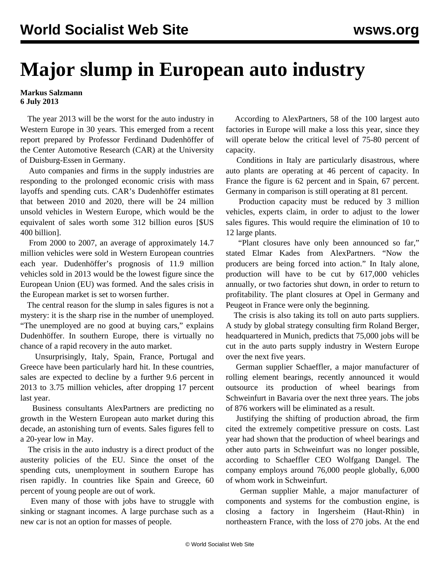## **Major slump in European auto industry**

**Markus Salzmann 6 July 2013**

 The year 2013 will be the worst for the auto industry in Western Europe in 30 years. This emerged from a recent report prepared by Professor Ferdinand Dudenhöffer of the Center Automotive Research (CAR) at the University of Duisburg-Essen in Germany.

 Auto companies and firms in the supply industries are responding to the prolonged economic crisis with mass layoffs and spending cuts. CAR's Dudenhöffer estimates that between 2010 and 2020, there will be 24 million unsold vehicles in Western Europe, which would be the equivalent of sales worth some 312 billion euros [\$US 400 billion].

 From 2000 to 2007, an average of approximately 14.7 million vehicles were sold in Western European countries each year. Dudenhöffer's prognosis of 11.9 million vehicles sold in 2013 would be the lowest figure since the European Union (EU) was formed. And the sales crisis in the European market is set to worsen further.

 The central reason for the slump in sales figures is not a mystery: it is the sharp rise in the number of unemployed. "The unemployed are no good at buying cars," explains Dudenhöffer. In southern Europe, there is virtually no chance of a rapid recovery in the auto market.

 Unsurprisingly, Italy, Spain, France, Portugal and Greece have been particularly hard hit. In these countries, sales are expected to decline by a further 9.6 percent in 2013 to 3.75 million vehicles, after dropping 17 percent last year.

 Business consultants AlexPartners are predicting no growth in the Western European auto market during this decade, an astonishing turn of events. Sales figures fell to a 20-year low in May.

 The crisis in the auto industry is a direct product of the austerity policies of the EU. Since the onset of the spending cuts, unemployment in southern Europe has risen rapidly. In countries like Spain and Greece, 60 percent of young people are out of work.

 Even many of those with jobs have to struggle with sinking or stagnant incomes. A large purchase such as a new car is not an option for masses of people.

 According to AlexPartners, 58 of the 100 largest auto factories in Europe will make a loss this year, since they will operate below the critical level of 75-80 percent of capacity.

 Conditions in Italy are particularly disastrous, where auto plants are operating at 46 percent of capacity. In France the figure is 62 percent and in Spain, 67 percent. Germany in comparison is still operating at 81 percent.

 Production capacity must be reduced by 3 million vehicles, experts claim, in order to adjust to the lower sales figures. This would require the elimination of 10 to 12 large plants.

 "Plant closures have only been announced so far," stated Elmar Kades from AlexPartners. "Now the producers are being forced into action." In Italy alone, production will have to be cut by 617,000 vehicles annually, or two factories shut down, in order to return to profitability. The plant closures at Opel in Germany and Peugeot in France were only the beginning.

 The crisis is also taking its toll on auto parts suppliers. A study by global strategy consulting firm Roland Berger, headquartered in Munich, predicts that 75,000 jobs will be cut in the auto parts supply industry in Western Europe over the next five years.

 German supplier Schaeffler, a major manufacturer of rolling element bearings, recently announced it would outsource its production of wheel bearings from Schweinfurt in Bavaria over the next three years. The jobs of 876 workers will be eliminated as a result.

 Justifying the shifting of production abroad, the firm cited the extremely competitive pressure on costs. Last year had shown that the production of wheel bearings and other auto parts in Schweinfurt was no longer possible, according to Schaeffler CEO Wolfgang Dangel. The company employs around 76,000 people globally, 6,000 of whom work in Schweinfurt.

 German supplier Mahle, a major manufacturer of components and systems for the combustion engine, is closing a factory in Ingersheim (Haut-Rhin) in northeastern France, with the loss of 270 jobs. At the end